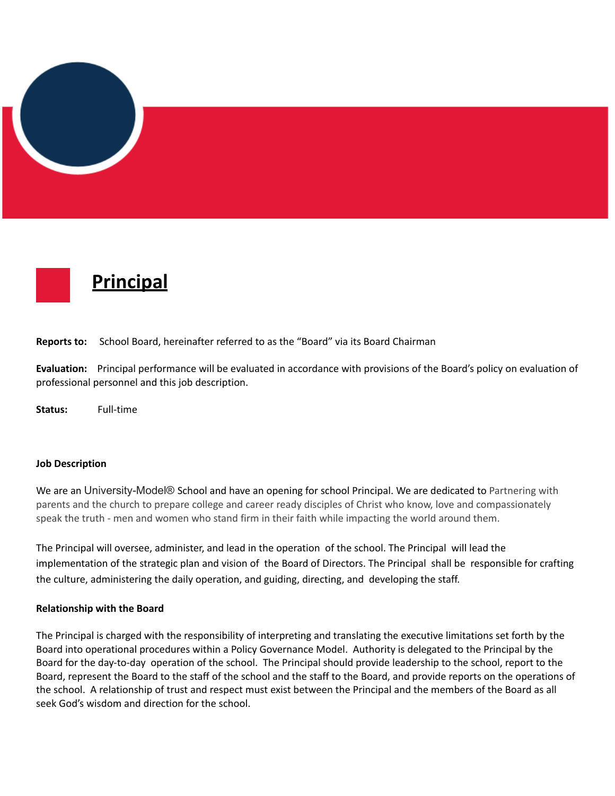



**Reports to:** School Board, hereinafter referred to as the "Board" via its Board Chairman

**Evaluation:** Principal performance will be evaluated in accordance with provisions of the Board's policy on evaluation of professional personnel and this job description.

**Status:** Full-time

#### **Job Description**

We are an University-Model® School and have an opening for school Principal. We are dedicated to Partnering with parents and the church to prepare college and career ready disciples of Christ who know, love and compassionately speak the truth - men and women who stand firm in their faith while impacting the world around them.

The Principal will oversee, administer, and lead in the operation of the school. The Principal will lead the implementation of the strategic plan and vision of the Board of Directors. The Principal shall be responsible for crafting the culture, administering the daily operation, and guiding, directing, and developing the staff.

#### **Relationship with the Board**

The Principal is charged with the responsibility of interpreting and translating the executive limitations set forth by the Board into operational procedures within a Policy Governance Model. Authority is delegated to the Principal by the Board for the day-to-day operation of the school. The Principal should provide leadership to the school, report to the Board, represent the Board to the staff of the school and the staff to the Board, and provide reports on the operations of the school. A relationship of trust and respect must exist between the Principal and the members of the Board as all seek God's wisdom and direction for the school.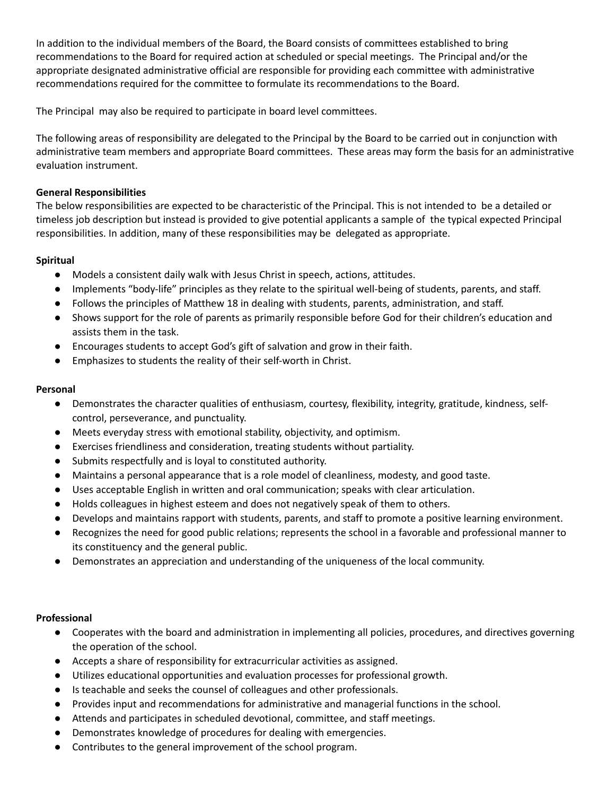In addition to the individual members of the Board, the Board consists of committees established to bring recommendations to the Board for required action at scheduled or special meetings. The Principal and/or the appropriate designated administrative official are responsible for providing each committee with administrative recommendations required for the committee to formulate its recommendations to the Board.

The Principal may also be required to participate in board level committees.

The following areas of responsibility are delegated to the Principal by the Board to be carried out in conjunction with administrative team members and appropriate Board committees. These areas may form the basis for an administrative evaluation instrument.

## **General Responsibilities**

The below responsibilities are expected to be characteristic of the Principal. This is not intended to be a detailed or timeless job description but instead is provided to give potential applicants a sample of the typical expected Principal responsibilities. In addition, many of these responsibilities may be delegated as appropriate.

# **Spiritual**

- Models a consistent daily walk with Jesus Christ in speech, actions, attitudes.
- Implements "body-life" principles as they relate to the spiritual well-being of students, parents, and staff.
- Follows the principles of Matthew 18 in dealing with students, parents, administration, and staff.
- Shows support for the role of parents as primarily responsible before God for their children's education and assists them in the task.
- Encourages students to accept God's gift of salvation and grow in their faith.
- Emphasizes to students the reality of their self-worth in Christ.

## **Personal**

- Demonstrates the character qualities of enthusiasm, courtesy, flexibility, integrity, gratitude, kindness, selfcontrol, perseverance, and punctuality.
- Meets everyday stress with emotional stability, objectivity, and optimism.
- Exercises friendliness and consideration, treating students without partiality.
- Submits respectfully and is loyal to constituted authority.
- Maintains a personal appearance that is a role model of cleanliness, modesty, and good taste.
- Uses acceptable English in written and oral communication; speaks with clear articulation.
- Holds colleagues in highest esteem and does not negatively speak of them to others.
- Develops and maintains rapport with students, parents, and staff to promote a positive learning environment.
- Recognizes the need for good public relations; represents the school in a favorable and professional manner to its constituency and the general public.
- Demonstrates an appreciation and understanding of the uniqueness of the local community.

## **Professional**

- Cooperates with the board and administration in implementing all policies, procedures, and directives governing the operation of the school.
- Accepts a share of responsibility for extracurricular activities as assigned.
- Utilizes educational opportunities and evaluation processes for professional growth.
- Is teachable and seeks the counsel of colleagues and other professionals.
- Provides input and recommendations for administrative and managerial functions in the school.
- Attends and participates in scheduled devotional, committee, and staff meetings.
- Demonstrates knowledge of procedures for dealing with emergencies.
- Contributes to the general improvement of the school program.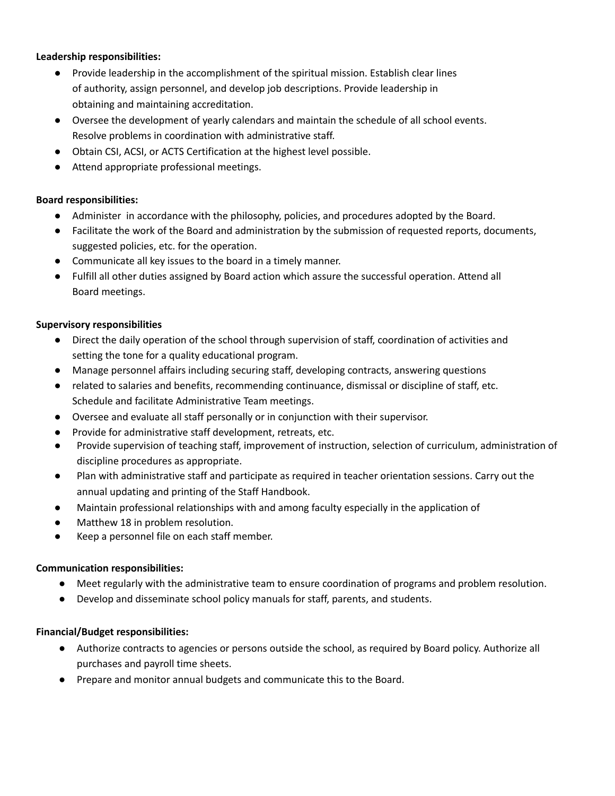## **Leadership responsibilities:**

- Provide leadership in the accomplishment of the spiritual mission. Establish clear lines of authority, assign personnel, and develop job descriptions. Provide leadership in obtaining and maintaining accreditation.
- Oversee the development of yearly calendars and maintain the schedule of all school events. Resolve problems in coordination with administrative staff.
- Obtain CSI, ACSI, or ACTS Certification at the highest level possible.
- Attend appropriate professional meetings.

## **Board responsibilities:**

- Administer in accordance with the philosophy, policies, and procedures adopted by the Board.
- Facilitate the work of the Board and administration by the submission of requested reports, documents, suggested policies, etc. for the operation.
- Communicate all key issues to the board in a timely manner.
- Fulfill all other duties assigned by Board action which assure the successful operation. Attend all Board meetings.

## **Supervisory responsibilities**

- Direct the daily operation of the school through supervision of staff, coordination of activities and setting the tone for a quality educational program.
- Manage personnel affairs including securing staff, developing contracts, answering questions
- related to salaries and benefits, recommending continuance, dismissal or discipline of staff, etc. Schedule and facilitate Administrative Team meetings.
- Oversee and evaluate all staff personally or in conjunction with their supervisor.
- Provide for administrative staff development, retreats, etc.
- Provide supervision of teaching staff, improvement of instruction, selection of curriculum, administration of discipline procedures as appropriate.
- Plan with administrative staff and participate as required in teacher orientation sessions. Carry out the annual updating and printing of the Staff Handbook.
- Maintain professional relationships with and among faculty especially in the application of
- Matthew 18 in problem resolution.
- Keep a personnel file on each staff member.

## **Communication responsibilities:**

- Meet regularly with the administrative team to ensure coordination of programs and problem resolution.
- Develop and disseminate school policy manuals for staff, parents, and students.

## **Financial/Budget responsibilities:**

- Authorize contracts to agencies or persons outside the school, as required by Board policy. Authorize all purchases and payroll time sheets.
- Prepare and monitor annual budgets and communicate this to the Board.